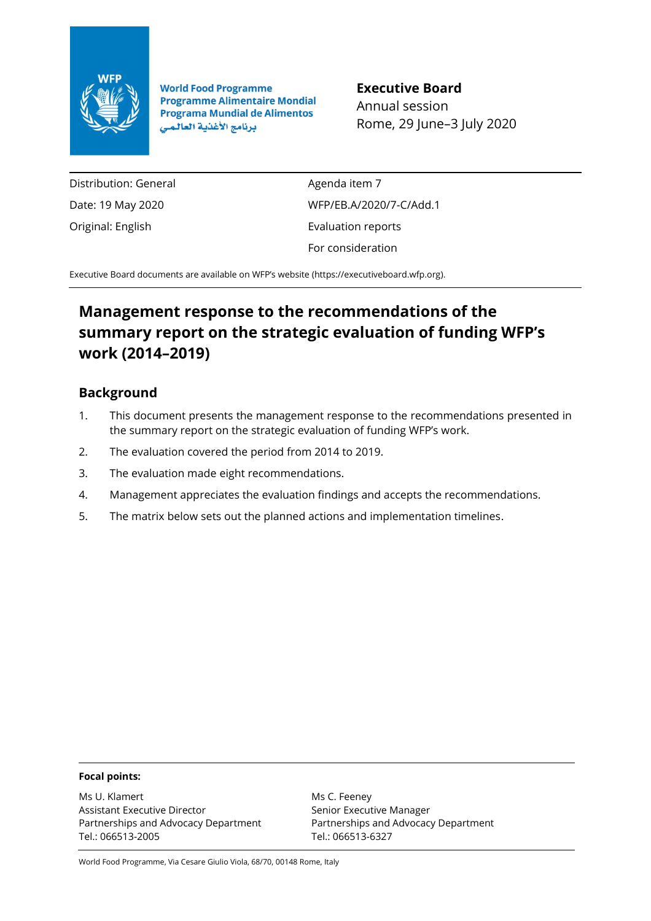

**World Food Programme Programme Alimentaire Mondial Programa Mundial de Alimentos** برنامج الأغذية العالمي

**Executive Board** Annual session Rome, 29 June–3 July 2020

Distribution: General Date: 19 May 2020 Original: English

Agenda item 7 WFP/EB.A/2020/7-C/Add.1 Evaluation reports For consideration

Executive Board documents are available on WFP's website [\(https://executiveboard.wfp.org\)](https://executiveboard.wfp.org/).

# **Management response to the recommendations of the summary report on the strategic evaluation of funding WFP's work (2014–2019)**

#### **Background**

- 1. This document presents the management response to the recommendations presented in the summary report on the strategic evaluation of funding WFP's work.
- 2. The evaluation covered the period from 2014 to 2019.
- 3. The evaluation made eight recommendations.
- 4. Management appreciates the evaluation findings and accepts the recommendations.
- 5. The matrix below sets out the planned actions and implementation timelines.

#### **Focal points:**

Ms U. Klamert Assistant Executive Director Partnerships and Advocacy Department Tel.: 066513-2005

Ms C. Feeney Senior Executive Manager Partnerships and Advocacy Department Tel.: 066513-6327

World Food Programme, Via Cesare Giulio Viola, 68/70, 00148 Rome, Italy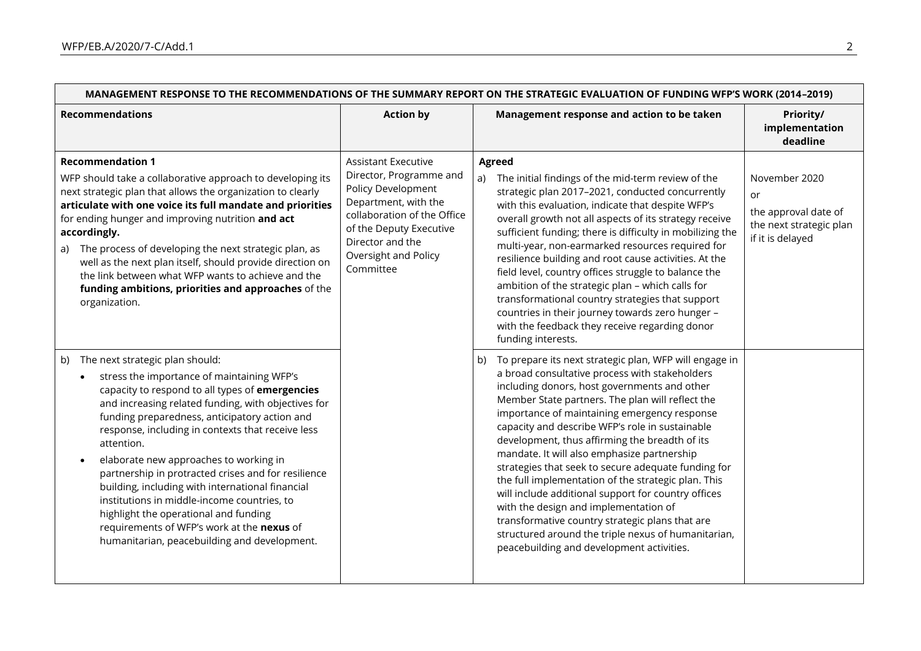| MANAGEMENT RESPONSE TO THE RECOMMENDATIONS OF THE SUMMARY REPORT ON THE STRATEGIC EVALUATION OF FUNDING WFP'S WORK (2014-2019)                                                                                                                                                                                                                                                                                                                                                                                                                                                                                                                            |                                                                                                                                                                                                                        |                                                                                                                                                                                                                                                                                                                                                                                                                                                                                                                                                                                                                                                                                                                                                                                          |                                                                                                   |
|-----------------------------------------------------------------------------------------------------------------------------------------------------------------------------------------------------------------------------------------------------------------------------------------------------------------------------------------------------------------------------------------------------------------------------------------------------------------------------------------------------------------------------------------------------------------------------------------------------------------------------------------------------------|------------------------------------------------------------------------------------------------------------------------------------------------------------------------------------------------------------------------|------------------------------------------------------------------------------------------------------------------------------------------------------------------------------------------------------------------------------------------------------------------------------------------------------------------------------------------------------------------------------------------------------------------------------------------------------------------------------------------------------------------------------------------------------------------------------------------------------------------------------------------------------------------------------------------------------------------------------------------------------------------------------------------|---------------------------------------------------------------------------------------------------|
| <b>Recommendations</b>                                                                                                                                                                                                                                                                                                                                                                                                                                                                                                                                                                                                                                    | <b>Action by</b>                                                                                                                                                                                                       | Management response and action to be taken                                                                                                                                                                                                                                                                                                                                                                                                                                                                                                                                                                                                                                                                                                                                               | Priority/<br>implementation<br>deadline                                                           |
| <b>Recommendation 1</b><br>WFP should take a collaborative approach to developing its<br>next strategic plan that allows the organization to clearly<br>articulate with one voice its full mandate and priorities<br>for ending hunger and improving nutrition and act<br>accordingly.<br>The process of developing the next strategic plan, as<br>a)<br>well as the next plan itself, should provide direction on<br>the link between what WFP wants to achieve and the<br>funding ambitions, priorities and approaches of the<br>organization.                                                                                                          | <b>Assistant Executive</b><br>Director, Programme and<br>Policy Development<br>Department, with the<br>collaboration of the Office<br>of the Deputy Executive<br>Director and the<br>Oversight and Policy<br>Committee | <b>Agreed</b><br>a) The initial findings of the mid-term review of the<br>strategic plan 2017-2021, conducted concurrently<br>with this evaluation, indicate that despite WFP's<br>overall growth not all aspects of its strategy receive<br>sufficient funding; there is difficulty in mobilizing the<br>multi-year, non-earmarked resources required for<br>resilience building and root cause activities. At the<br>field level, country offices struggle to balance the<br>ambition of the strategic plan - which calls for<br>transformational country strategies that support<br>countries in their journey towards zero hunger -<br>with the feedback they receive regarding donor<br>funding interests.                                                                          | November 2020<br><b>or</b><br>the approval date of<br>the next strategic plan<br>if it is delayed |
| b) The next strategic plan should:<br>stress the importance of maintaining WFP's<br>capacity to respond to all types of emergencies<br>and increasing related funding, with objectives for<br>funding preparedness, anticipatory action and<br>response, including in contexts that receive less<br>attention.<br>elaborate new approaches to working in<br>partnership in protracted crises and for resilience<br>building, including with international financial<br>institutions in middle-income countries, to<br>highlight the operational and funding<br>requirements of WFP's work at the nexus of<br>humanitarian, peacebuilding and development. |                                                                                                                                                                                                                        | b) To prepare its next strategic plan, WFP will engage in<br>a broad consultative process with stakeholders<br>including donors, host governments and other<br>Member State partners. The plan will reflect the<br>importance of maintaining emergency response<br>capacity and describe WFP's role in sustainable<br>development, thus affirming the breadth of its<br>mandate. It will also emphasize partnership<br>strategies that seek to secure adequate funding for<br>the full implementation of the strategic plan. This<br>will include additional support for country offices<br>with the design and implementation of<br>transformative country strategic plans that are<br>structured around the triple nexus of humanitarian,<br>peacebuilding and development activities. |                                                                                                   |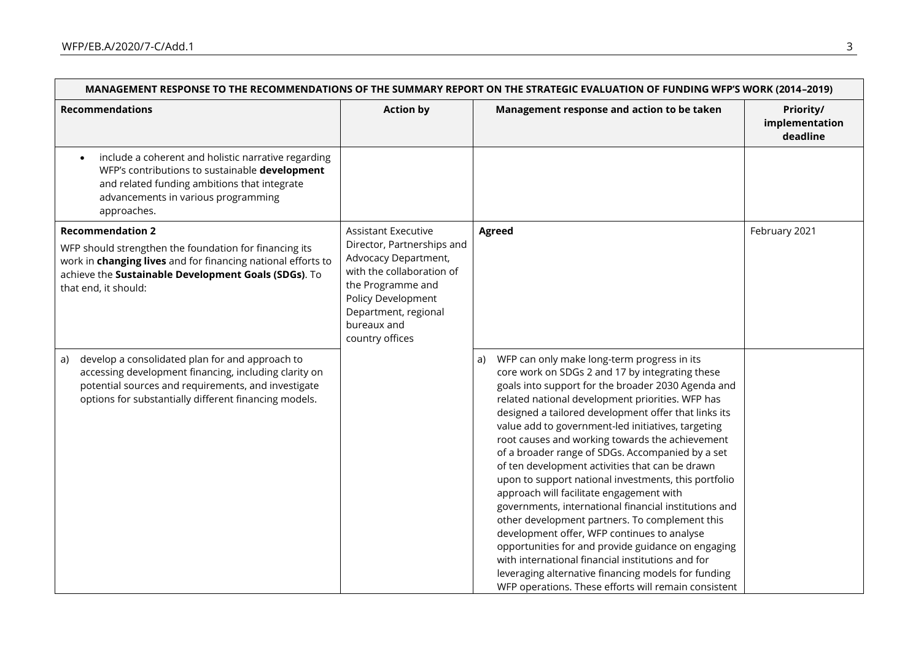| MANAGEMENT RESPONSE TO THE RECOMMENDATIONS OF THE SUMMARY REPORT ON THE STRATEGIC EVALUATION OF FUNDING WFP'S WORK (2014-2019)                                                                                                    |                                                                                                                                                                                                                    |                                                                                                                                                                                                                                                                                                                                                                                                                                                                                                                                                                                                                                                                                                                                                                                                                                                                                                                                                                                |                                         |  |
|-----------------------------------------------------------------------------------------------------------------------------------------------------------------------------------------------------------------------------------|--------------------------------------------------------------------------------------------------------------------------------------------------------------------------------------------------------------------|--------------------------------------------------------------------------------------------------------------------------------------------------------------------------------------------------------------------------------------------------------------------------------------------------------------------------------------------------------------------------------------------------------------------------------------------------------------------------------------------------------------------------------------------------------------------------------------------------------------------------------------------------------------------------------------------------------------------------------------------------------------------------------------------------------------------------------------------------------------------------------------------------------------------------------------------------------------------------------|-----------------------------------------|--|
| <b>Recommendations</b>                                                                                                                                                                                                            | <b>Action by</b>                                                                                                                                                                                                   | Management response and action to be taken                                                                                                                                                                                                                                                                                                                                                                                                                                                                                                                                                                                                                                                                                                                                                                                                                                                                                                                                     | Priority/<br>implementation<br>deadline |  |
| include a coherent and holistic narrative regarding<br>WFP's contributions to sustainable development<br>and related funding ambitions that integrate<br>advancements in various programming<br>approaches.                       |                                                                                                                                                                                                                    |                                                                                                                                                                                                                                                                                                                                                                                                                                                                                                                                                                                                                                                                                                                                                                                                                                                                                                                                                                                |                                         |  |
| <b>Recommendation 2</b><br>WFP should strengthen the foundation for financing its<br>work in changing lives and for financing national efforts to<br>achieve the Sustainable Development Goals (SDGs). To<br>that end, it should: | <b>Assistant Executive</b><br>Director, Partnerships and<br>Advocacy Department,<br>with the collaboration of<br>the Programme and<br>Policy Development<br>Department, regional<br>bureaux and<br>country offices | <b>Agreed</b>                                                                                                                                                                                                                                                                                                                                                                                                                                                                                                                                                                                                                                                                                                                                                                                                                                                                                                                                                                  | February 2021                           |  |
| develop a consolidated plan for and approach to<br>a)<br>accessing development financing, including clarity on<br>potential sources and requirements, and investigate<br>options for substantially different financing models.    |                                                                                                                                                                                                                    | WFP can only make long-term progress in its<br>a)<br>core work on SDGs 2 and 17 by integrating these<br>goals into support for the broader 2030 Agenda and<br>related national development priorities. WFP has<br>designed a tailored development offer that links its<br>value add to government-led initiatives, targeting<br>root causes and working towards the achievement<br>of a broader range of SDGs. Accompanied by a set<br>of ten development activities that can be drawn<br>upon to support national investments, this portfolio<br>approach will facilitate engagement with<br>governments, international financial institutions and<br>other development partners. To complement this<br>development offer, WFP continues to analyse<br>opportunities for and provide guidance on engaging<br>with international financial institutions and for<br>leveraging alternative financing models for funding<br>WFP operations. These efforts will remain consistent |                                         |  |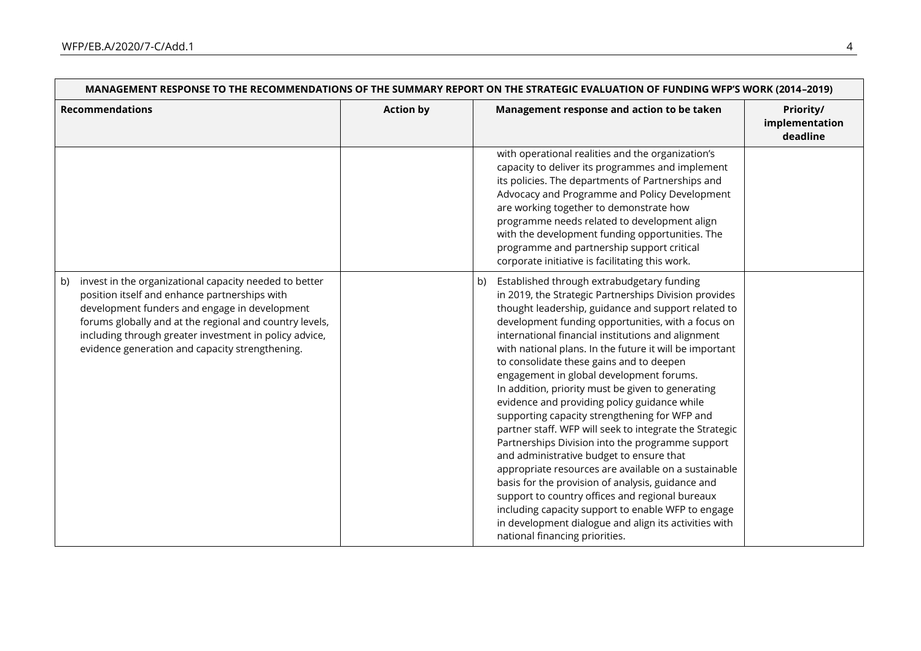| MANAGEMENT RESPONSE TO THE RECOMMENDATIONS OF THE SUMMARY REPORT ON THE STRATEGIC EVALUATION OF FUNDING WFP'S WORK (2014-2019)                                                                                                                                                                                                         |                  |                                                                                                                                                                                                                                                                                                                                                                                                                                                                                                                                                                                                                                                                                                                                                                                                                                                                                                                                                                                                                                                                   |  |
|----------------------------------------------------------------------------------------------------------------------------------------------------------------------------------------------------------------------------------------------------------------------------------------------------------------------------------------|------------------|-------------------------------------------------------------------------------------------------------------------------------------------------------------------------------------------------------------------------------------------------------------------------------------------------------------------------------------------------------------------------------------------------------------------------------------------------------------------------------------------------------------------------------------------------------------------------------------------------------------------------------------------------------------------------------------------------------------------------------------------------------------------------------------------------------------------------------------------------------------------------------------------------------------------------------------------------------------------------------------------------------------------------------------------------------------------|--|
| <b>Recommendations</b>                                                                                                                                                                                                                                                                                                                 | <b>Action by</b> | Management response and action to be taken<br>Priority/<br>implementation<br>deadline                                                                                                                                                                                                                                                                                                                                                                                                                                                                                                                                                                                                                                                                                                                                                                                                                                                                                                                                                                             |  |
|                                                                                                                                                                                                                                                                                                                                        |                  | with operational realities and the organization's<br>capacity to deliver its programmes and implement<br>its policies. The departments of Partnerships and<br>Advocacy and Programme and Policy Development<br>are working together to demonstrate how<br>programme needs related to development align<br>with the development funding opportunities. The<br>programme and partnership support critical<br>corporate initiative is facilitating this work.                                                                                                                                                                                                                                                                                                                                                                                                                                                                                                                                                                                                        |  |
| invest in the organizational capacity needed to better<br>b)<br>position itself and enhance partnerships with<br>development funders and engage in development<br>forums globally and at the regional and country levels,<br>including through greater investment in policy advice,<br>evidence generation and capacity strengthening. |                  | Established through extrabudgetary funding<br>b)<br>in 2019, the Strategic Partnerships Division provides<br>thought leadership, guidance and support related to<br>development funding opportunities, with a focus on<br>international financial institutions and alignment<br>with national plans. In the future it will be important<br>to consolidate these gains and to deepen<br>engagement in global development forums.<br>In addition, priority must be given to generating<br>evidence and providing policy guidance while<br>supporting capacity strengthening for WFP and<br>partner staff. WFP will seek to integrate the Strategic<br>Partnerships Division into the programme support<br>and administrative budget to ensure that<br>appropriate resources are available on a sustainable<br>basis for the provision of analysis, guidance and<br>support to country offices and regional bureaux<br>including capacity support to enable WFP to engage<br>in development dialogue and align its activities with<br>national financing priorities. |  |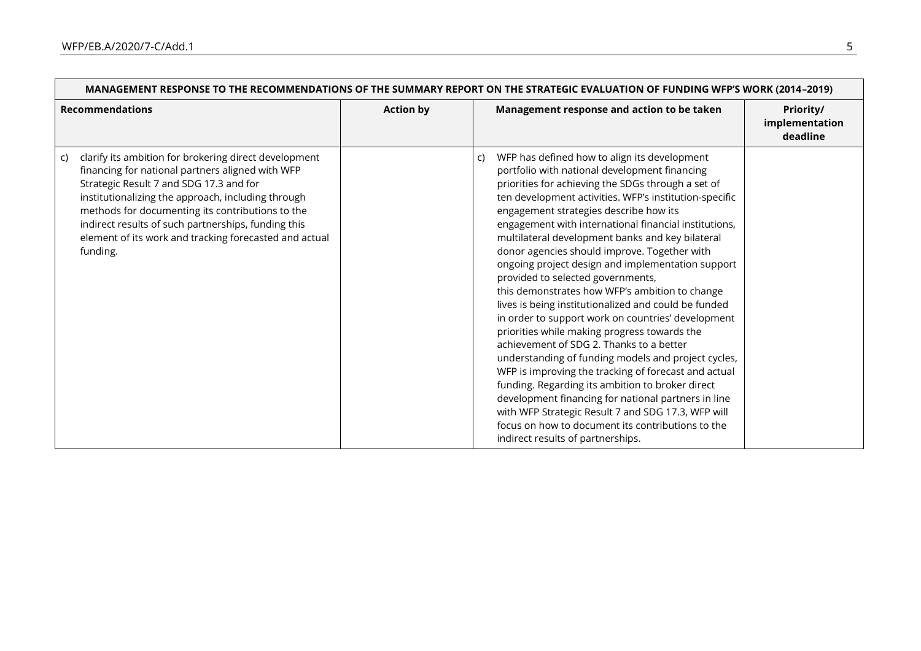| <u>MANAGEMENT KESPUNSE TU THE KECUMMENDATIONS OF THE SUMMAKT KEPUKT ON THE STKATEGIC EVALUATION OF FUNDING WFP S WOKK (ZU14-ZUTY)</u>                                                                                                                                                                                                                                                             |                  |                                                                                                                                                                                                                                                                                                                                                                                                                                                                                                                                                                                                                                                                                                                                                                                                                                                                                                                                                                                                                                                                                                                                                            |                                                |  |
|---------------------------------------------------------------------------------------------------------------------------------------------------------------------------------------------------------------------------------------------------------------------------------------------------------------------------------------------------------------------------------------------------|------------------|------------------------------------------------------------------------------------------------------------------------------------------------------------------------------------------------------------------------------------------------------------------------------------------------------------------------------------------------------------------------------------------------------------------------------------------------------------------------------------------------------------------------------------------------------------------------------------------------------------------------------------------------------------------------------------------------------------------------------------------------------------------------------------------------------------------------------------------------------------------------------------------------------------------------------------------------------------------------------------------------------------------------------------------------------------------------------------------------------------------------------------------------------------|------------------------------------------------|--|
| <b>Recommendations</b>                                                                                                                                                                                                                                                                                                                                                                            | <b>Action by</b> | Management response and action to be taken                                                                                                                                                                                                                                                                                                                                                                                                                                                                                                                                                                                                                                                                                                                                                                                                                                                                                                                                                                                                                                                                                                                 | <b>Priority/</b><br>implementation<br>deadline |  |
| clarify its ambition for brokering direct development<br>C)<br>financing for national partners aligned with WFP<br>Strategic Result 7 and SDG 17.3 and for<br>institutionalizing the approach, including through<br>methods for documenting its contributions to the<br>indirect results of such partnerships, funding this<br>element of its work and tracking forecasted and actual<br>funding. |                  | WFP has defined how to align its development<br>C)<br>portfolio with national development financing<br>priorities for achieving the SDGs through a set of<br>ten development activities. WFP's institution-specific<br>engagement strategies describe how its<br>engagement with international financial institutions,<br>multilateral development banks and key bilateral<br>donor agencies should improve. Together with<br>ongoing project design and implementation support<br>provided to selected governments,<br>this demonstrates how WFP's ambition to change<br>lives is being institutionalized and could be funded<br>in order to support work on countries' development<br>priorities while making progress towards the<br>achievement of SDG 2. Thanks to a better<br>understanding of funding models and project cycles,<br>WFP is improving the tracking of forecast and actual<br>funding. Regarding its ambition to broker direct<br>development financing for national partners in line<br>with WFP Strategic Result 7 and SDG 17.3, WFP will<br>focus on how to document its contributions to the<br>indirect results of partnerships. |                                                |  |

#### $\sim$ **MANAGEMENT RESPONSE TO THE RECOMMENDATIONS OF THE SUMMARY REPORT ON THE STRATEGIC EVALUATION OF FUNDING WFP'S WORK (2014–2019)**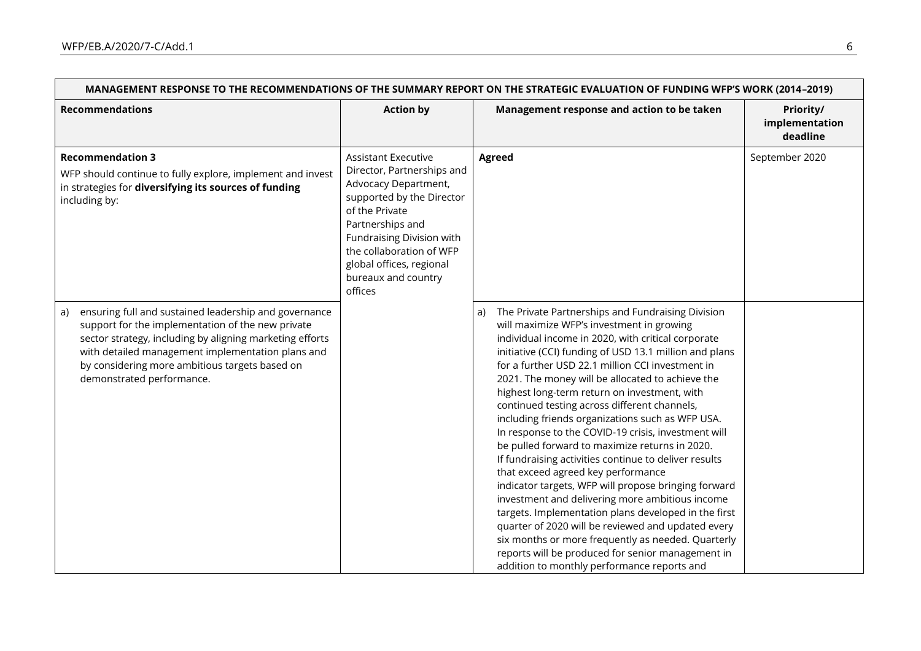|                                                                                                                                                                                                                                                                                                                  |                                                                                                                                                                                                                                                                            | MANAGEMENT RESPONSE TO THE RECOMMENDATIONS OF THE SUMMARY REPORT ON THE STRATEGIC EVALUATION OF FUNDING WFP'S WORK (2014–2019)                                                                                                                                                                                                                                                                                                                                                                                                                                                                                                                                                                                                                                                                                                                                                                                                                                                                                                                                              |                                         |
|------------------------------------------------------------------------------------------------------------------------------------------------------------------------------------------------------------------------------------------------------------------------------------------------------------------|----------------------------------------------------------------------------------------------------------------------------------------------------------------------------------------------------------------------------------------------------------------------------|-----------------------------------------------------------------------------------------------------------------------------------------------------------------------------------------------------------------------------------------------------------------------------------------------------------------------------------------------------------------------------------------------------------------------------------------------------------------------------------------------------------------------------------------------------------------------------------------------------------------------------------------------------------------------------------------------------------------------------------------------------------------------------------------------------------------------------------------------------------------------------------------------------------------------------------------------------------------------------------------------------------------------------------------------------------------------------|-----------------------------------------|
| <b>Recommendations</b>                                                                                                                                                                                                                                                                                           | <b>Action by</b>                                                                                                                                                                                                                                                           | Management response and action to be taken                                                                                                                                                                                                                                                                                                                                                                                                                                                                                                                                                                                                                                                                                                                                                                                                                                                                                                                                                                                                                                  | Priority/<br>implementation<br>deadline |
| <b>Recommendation 3</b><br>WFP should continue to fully explore, implement and invest<br>in strategies for diversifying its sources of funding<br>including by:                                                                                                                                                  | <b>Assistant Executive</b><br>Director, Partnerships and<br>Advocacy Department,<br>supported by the Director<br>of the Private<br>Partnerships and<br>Fundraising Division with<br>the collaboration of WFP<br>global offices, regional<br>bureaux and country<br>offices | Agreed                                                                                                                                                                                                                                                                                                                                                                                                                                                                                                                                                                                                                                                                                                                                                                                                                                                                                                                                                                                                                                                                      | September 2020                          |
| ensuring full and sustained leadership and governance<br>a)<br>support for the implementation of the new private<br>sector strategy, including by aligning marketing efforts<br>with detailed management implementation plans and<br>by considering more ambitious targets based on<br>demonstrated performance. |                                                                                                                                                                                                                                                                            | The Private Partnerships and Fundraising Division<br>a)<br>will maximize WFP's investment in growing<br>individual income in 2020, with critical corporate<br>initiative (CCI) funding of USD 13.1 million and plans<br>for a further USD 22.1 million CCI investment in<br>2021. The money will be allocated to achieve the<br>highest long-term return on investment, with<br>continued testing across different channels,<br>including friends organizations such as WFP USA.<br>In response to the COVID-19 crisis, investment will<br>be pulled forward to maximize returns in 2020.<br>If fundraising activities continue to deliver results<br>that exceed agreed key performance<br>indicator targets, WFP will propose bringing forward<br>investment and delivering more ambitious income<br>targets. Implementation plans developed in the first<br>quarter of 2020 will be reviewed and updated every<br>six months or more frequently as needed. Quarterly<br>reports will be produced for senior management in<br>addition to monthly performance reports and |                                         |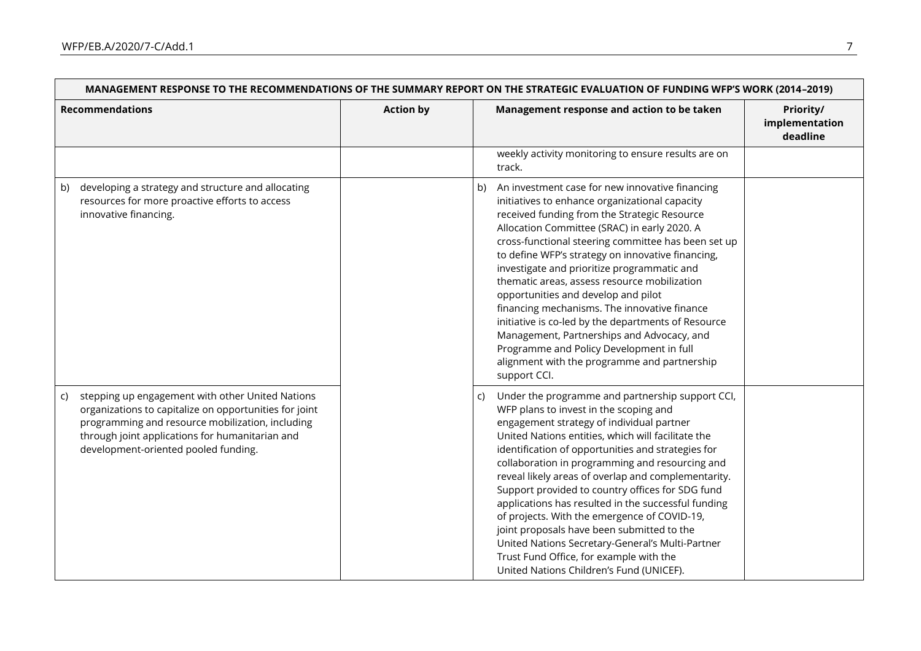$\sqrt{2}$ 

|    | MANAGEMENT RESPONSE TO THE RECOMMENDATIONS OF THE SUMMARY REPORT ON THE STRATEGIC EVALUATION OF FUNDING WFP'S WORK (2014-2019)                                                                                                                            |                  |                                                                                                                                                                                                                                                                                                                                                                                                                                                                                                                                                                                                                                                                                                                         |  |  |
|----|-----------------------------------------------------------------------------------------------------------------------------------------------------------------------------------------------------------------------------------------------------------|------------------|-------------------------------------------------------------------------------------------------------------------------------------------------------------------------------------------------------------------------------------------------------------------------------------------------------------------------------------------------------------------------------------------------------------------------------------------------------------------------------------------------------------------------------------------------------------------------------------------------------------------------------------------------------------------------------------------------------------------------|--|--|
|    | <b>Recommendations</b>                                                                                                                                                                                                                                    | <b>Action by</b> | Management response and action to be taken<br>Priority/<br>implementation<br>deadline                                                                                                                                                                                                                                                                                                                                                                                                                                                                                                                                                                                                                                   |  |  |
|    |                                                                                                                                                                                                                                                           |                  | weekly activity monitoring to ensure results are on<br>track.                                                                                                                                                                                                                                                                                                                                                                                                                                                                                                                                                                                                                                                           |  |  |
| b) | developing a strategy and structure and allocating<br>resources for more proactive efforts to access<br>innovative financing.                                                                                                                             |                  | An investment case for new innovative financing<br>initiatives to enhance organizational capacity<br>received funding from the Strategic Resource<br>Allocation Committee (SRAC) in early 2020. A<br>cross-functional steering committee has been set up<br>to define WFP's strategy on innovative financing,<br>investigate and prioritize programmatic and<br>thematic areas, assess resource mobilization<br>opportunities and develop and pilot<br>financing mechanisms. The innovative finance<br>initiative is co-led by the departments of Resource<br>Management, Partnerships and Advocacy, and<br>Programme and Policy Development in full<br>alignment with the programme and partnership<br>support CCI.    |  |  |
| C) | stepping up engagement with other United Nations<br>organizations to capitalize on opportunities for joint<br>programming and resource mobilization, including<br>through joint applications for humanitarian and<br>development-oriented pooled funding. |                  | Under the programme and partnership support CCI,<br>C)<br>WFP plans to invest in the scoping and<br>engagement strategy of individual partner<br>United Nations entities, which will facilitate the<br>identification of opportunities and strategies for<br>collaboration in programming and resourcing and<br>reveal likely areas of overlap and complementarity.<br>Support provided to country offices for SDG fund<br>applications has resulted in the successful funding<br>of projects. With the emergence of COVID-19,<br>joint proposals have been submitted to the<br>United Nations Secretary-General's Multi-Partner<br>Trust Fund Office, for example with the<br>United Nations Children's Fund (UNICEF). |  |  |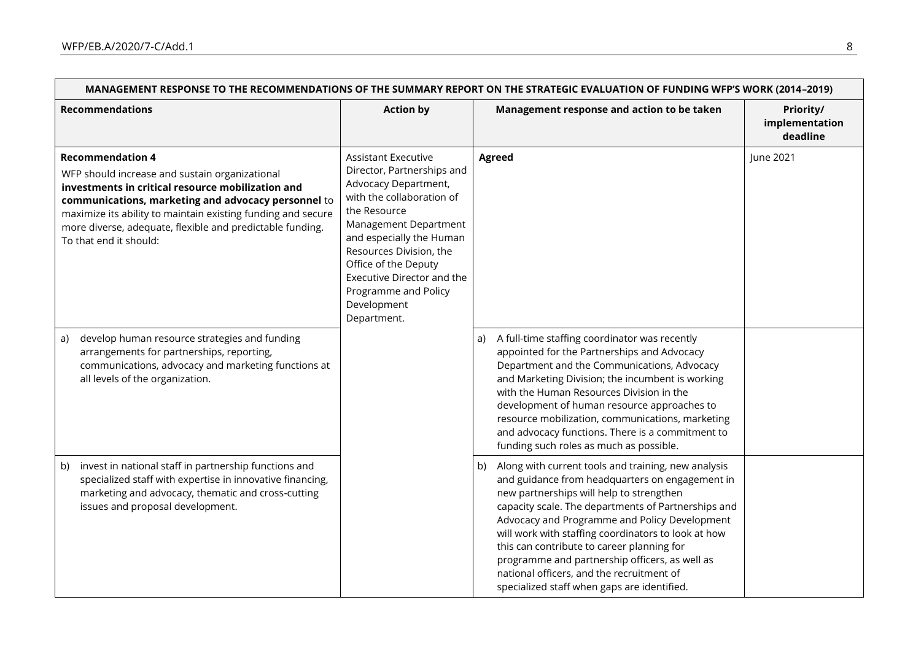| MANAGEMENT RESPONSE TO THE RECOMMENDATIONS OF THE SUMMARY REPORT ON THE STRATEGIC EVALUATION OF FUNDING WFP'S WORK (2014-2019)                                                                                                                                                                                                               |                                                                                                                                                                                                                                                                                                                           |                                                                                                                                                                                                                                                                                                                                                                                                                                                                                                                     |                                         |
|----------------------------------------------------------------------------------------------------------------------------------------------------------------------------------------------------------------------------------------------------------------------------------------------------------------------------------------------|---------------------------------------------------------------------------------------------------------------------------------------------------------------------------------------------------------------------------------------------------------------------------------------------------------------------------|---------------------------------------------------------------------------------------------------------------------------------------------------------------------------------------------------------------------------------------------------------------------------------------------------------------------------------------------------------------------------------------------------------------------------------------------------------------------------------------------------------------------|-----------------------------------------|
| <b>Recommendations</b>                                                                                                                                                                                                                                                                                                                       | <b>Action by</b>                                                                                                                                                                                                                                                                                                          | Management response and action to be taken                                                                                                                                                                                                                                                                                                                                                                                                                                                                          | Priority/<br>implementation<br>deadline |
| <b>Recommendation 4</b><br>WFP should increase and sustain organizational<br>investments in critical resource mobilization and<br>communications, marketing and advocacy personnel to<br>maximize its ability to maintain existing funding and secure<br>more diverse, adequate, flexible and predictable funding.<br>To that end it should: | <b>Assistant Executive</b><br>Director, Partnerships and<br>Advocacy Department,<br>with the collaboration of<br>the Resource<br>Management Department<br>and especially the Human<br>Resources Division, the<br>Office of the Deputy<br>Executive Director and the<br>Programme and Policy<br>Development<br>Department. | Agreed                                                                                                                                                                                                                                                                                                                                                                                                                                                                                                              | June 2021                               |
| develop human resource strategies and funding<br>a)<br>arrangements for partnerships, reporting,<br>communications, advocacy and marketing functions at<br>all levels of the organization.                                                                                                                                                   |                                                                                                                                                                                                                                                                                                                           | A full-time staffing coordinator was recently<br>appointed for the Partnerships and Advocacy<br>Department and the Communications, Advocacy<br>and Marketing Division; the incumbent is working<br>with the Human Resources Division in the<br>development of human resource approaches to<br>resource mobilization, communications, marketing<br>and advocacy functions. There is a commitment to<br>funding such roles as much as possible.                                                                       |                                         |
| invest in national staff in partnership functions and<br>b)<br>specialized staff with expertise in innovative financing,<br>marketing and advocacy, thematic and cross-cutting<br>issues and proposal development.                                                                                                                           |                                                                                                                                                                                                                                                                                                                           | Along with current tools and training, new analysis<br>b)<br>and guidance from headquarters on engagement in<br>new partnerships will help to strengthen<br>capacity scale. The departments of Partnerships and<br>Advocacy and Programme and Policy Development<br>will work with staffing coordinators to look at how<br>this can contribute to career planning for<br>programme and partnership officers, as well as<br>national officers, and the recruitment of<br>specialized staff when gaps are identified. |                                         |

═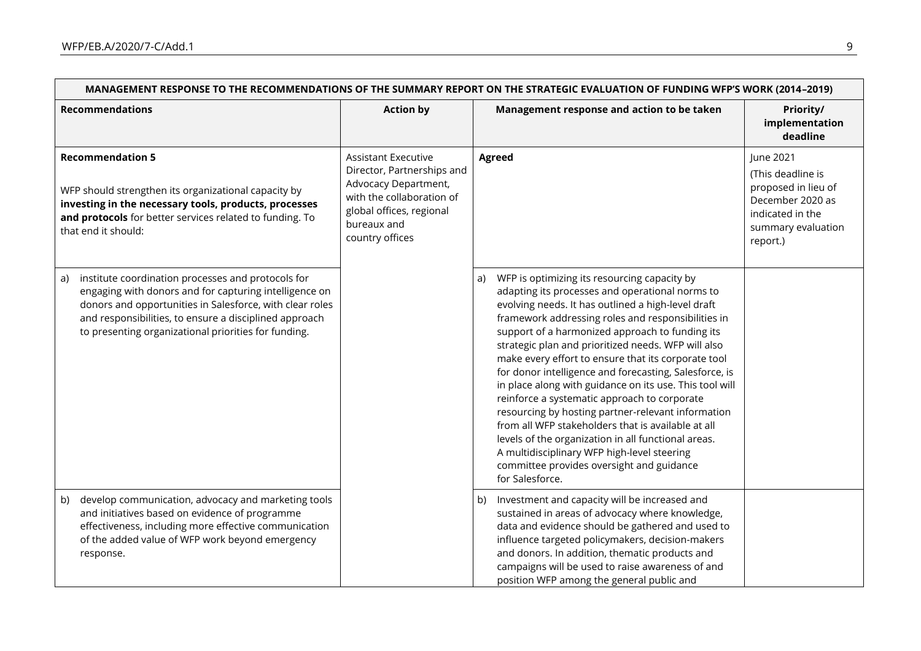| MANAGEMENT RESPONSE TO THE RECOMMENDATIONS OF THE SUMMARY REPORT ON THE STRATEGIC EVALUATION OF FUNDING WFP'S WORK (2014–2019)                                                                                                                                                                   |                                                                                                                                                                             |                                                                                                                                                                                                                                                                                                                                                                                                                                                                                                                                                                                                                                                                                                                                                                                                                                           |                                                                                                                                 |  |
|--------------------------------------------------------------------------------------------------------------------------------------------------------------------------------------------------------------------------------------------------------------------------------------------------|-----------------------------------------------------------------------------------------------------------------------------------------------------------------------------|-------------------------------------------------------------------------------------------------------------------------------------------------------------------------------------------------------------------------------------------------------------------------------------------------------------------------------------------------------------------------------------------------------------------------------------------------------------------------------------------------------------------------------------------------------------------------------------------------------------------------------------------------------------------------------------------------------------------------------------------------------------------------------------------------------------------------------------------|---------------------------------------------------------------------------------------------------------------------------------|--|
| <b>Recommendations</b>                                                                                                                                                                                                                                                                           | <b>Action by</b>                                                                                                                                                            | Management response and action to be taken                                                                                                                                                                                                                                                                                                                                                                                                                                                                                                                                                                                                                                                                                                                                                                                                | Priority/<br>implementation<br>deadline                                                                                         |  |
| <b>Recommendation 5</b><br>WFP should strengthen its organizational capacity by<br>investing in the necessary tools, products, processes<br>and protocols for better services related to funding. To<br>that end it should:                                                                      | <b>Assistant Executive</b><br>Director, Partnerships and<br>Advocacy Department,<br>with the collaboration of<br>global offices, regional<br>bureaux and<br>country offices | Agreed                                                                                                                                                                                                                                                                                                                                                                                                                                                                                                                                                                                                                                                                                                                                                                                                                                    | June 2021<br>(This deadline is<br>proposed in lieu of<br>December 2020 as<br>indicated in the<br>summary evaluation<br>report.) |  |
| institute coordination processes and protocols for<br>a)<br>engaging with donors and for capturing intelligence on<br>donors and opportunities in Salesforce, with clear roles<br>and responsibilities, to ensure a disciplined approach<br>to presenting organizational priorities for funding. |                                                                                                                                                                             | WFP is optimizing its resourcing capacity by<br>a)<br>adapting its processes and operational norms to<br>evolving needs. It has outlined a high-level draft<br>framework addressing roles and responsibilities in<br>support of a harmonized approach to funding its<br>strategic plan and prioritized needs. WFP will also<br>make every effort to ensure that its corporate tool<br>for donor intelligence and forecasting, Salesforce, is<br>in place along with guidance on its use. This tool will<br>reinforce a systematic approach to corporate<br>resourcing by hosting partner-relevant information<br>from all WFP stakeholders that is available at all<br>levels of the organization in all functional areas.<br>A multidisciplinary WFP high-level steering<br>committee provides oversight and guidance<br>for Salesforce. |                                                                                                                                 |  |
| develop communication, advocacy and marketing tools<br>b)<br>and initiatives based on evidence of programme<br>effectiveness, including more effective communication<br>of the added value of WFP work beyond emergency<br>response.                                                             |                                                                                                                                                                             | Investment and capacity will be increased and<br>b)<br>sustained in areas of advocacy where knowledge,<br>data and evidence should be gathered and used to<br>influence targeted policymakers, decision-makers<br>and donors. In addition, thematic products and<br>campaigns will be used to raise awareness of and<br>position WFP among the general public and                                                                                                                                                                                                                                                                                                                                                                                                                                                                         |                                                                                                                                 |  |

**Contract Contract Contract** 

 $\sim$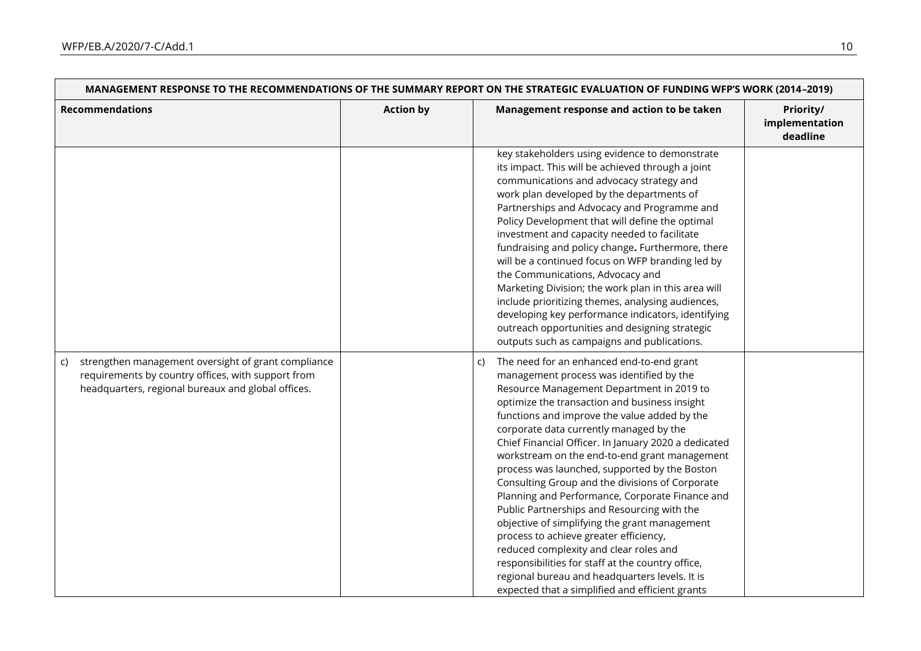| <b>Recommendations</b>                                                                                                                                                | <b>Action by</b> | Management response and action to be taken<br>Priority/<br>implementation<br>deadline                                                                                                                                                                                                                                                                                                                                                                                                                                                                                                                                                                                                                                                                                                                                                                                                              |
|-----------------------------------------------------------------------------------------------------------------------------------------------------------------------|------------------|----------------------------------------------------------------------------------------------------------------------------------------------------------------------------------------------------------------------------------------------------------------------------------------------------------------------------------------------------------------------------------------------------------------------------------------------------------------------------------------------------------------------------------------------------------------------------------------------------------------------------------------------------------------------------------------------------------------------------------------------------------------------------------------------------------------------------------------------------------------------------------------------------|
|                                                                                                                                                                       |                  | key stakeholders using evidence to demonstrate<br>its impact. This will be achieved through a joint<br>communications and advocacy strategy and<br>work plan developed by the departments of<br>Partnerships and Advocacy and Programme and<br>Policy Development that will define the optimal<br>investment and capacity needed to facilitate<br>fundraising and policy change. Furthermore, there<br>will be a continued focus on WFP branding led by<br>the Communications, Advocacy and<br>Marketing Division; the work plan in this area will<br>include prioritizing themes, analysing audiences,<br>developing key performance indicators, identifying<br>outreach opportunities and designing strategic<br>outputs such as campaigns and publications.                                                                                                                                     |
| strengthen management oversight of grant compliance<br>C)<br>requirements by country offices, with support from<br>headquarters, regional bureaux and global offices. |                  | The need for an enhanced end-to-end grant<br>C)<br>management process was identified by the<br>Resource Management Department in 2019 to<br>optimize the transaction and business insight<br>functions and improve the value added by the<br>corporate data currently managed by the<br>Chief Financial Officer. In January 2020 a dedicated<br>workstream on the end-to-end grant management<br>process was launched, supported by the Boston<br>Consulting Group and the divisions of Corporate<br>Planning and Performance, Corporate Finance and<br>Public Partnerships and Resourcing with the<br>objective of simplifying the grant management<br>process to achieve greater efficiency,<br>reduced complexity and clear roles and<br>responsibilities for staff at the country office,<br>regional bureau and headquarters levels. It is<br>expected that a simplified and efficient grants |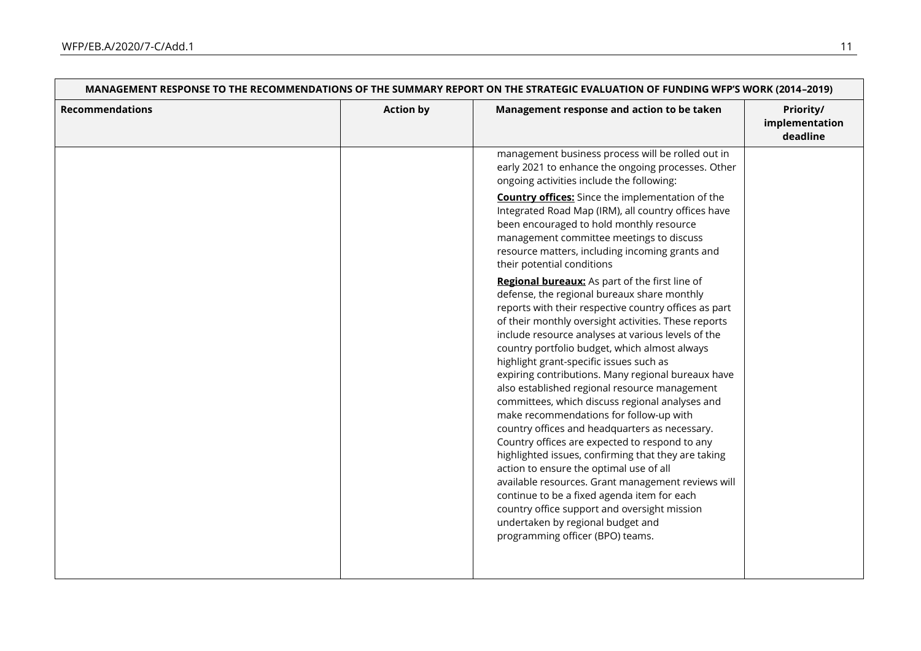| <b>Recommendations</b> | <b>Action by</b> | Management response and action to be taken                                                                                                                                                                                                                                                                                                                                                                                                                                                                                                                                                                                                                                                                                                                                                                                                                                                                                                                                                                | Priority/<br>implementation<br>deadline |
|------------------------|------------------|-----------------------------------------------------------------------------------------------------------------------------------------------------------------------------------------------------------------------------------------------------------------------------------------------------------------------------------------------------------------------------------------------------------------------------------------------------------------------------------------------------------------------------------------------------------------------------------------------------------------------------------------------------------------------------------------------------------------------------------------------------------------------------------------------------------------------------------------------------------------------------------------------------------------------------------------------------------------------------------------------------------|-----------------------------------------|
|                        |                  | management business process will be rolled out in<br>early 2021 to enhance the ongoing processes. Other<br>ongoing activities include the following:                                                                                                                                                                                                                                                                                                                                                                                                                                                                                                                                                                                                                                                                                                                                                                                                                                                      |                                         |
|                        |                  | <b>Country offices:</b> Since the implementation of the<br>Integrated Road Map (IRM), all country offices have<br>been encouraged to hold monthly resource<br>management committee meetings to discuss<br>resource matters, including incoming grants and<br>their potential conditions                                                                                                                                                                                                                                                                                                                                                                                                                                                                                                                                                                                                                                                                                                                   |                                         |
|                        |                  | Regional bureaux: As part of the first line of<br>defense, the regional bureaux share monthly<br>reports with their respective country offices as part<br>of their monthly oversight activities. These reports<br>include resource analyses at various levels of the<br>country portfolio budget, which almost always<br>highlight grant-specific issues such as<br>expiring contributions. Many regional bureaux have<br>also established regional resource management<br>committees, which discuss regional analyses and<br>make recommendations for follow-up with<br>country offices and headquarters as necessary.<br>Country offices are expected to respond to any<br>highlighted issues, confirming that they are taking<br>action to ensure the optimal use of all<br>available resources. Grant management reviews will<br>continue to be a fixed agenda item for each<br>country office support and oversight mission<br>undertaken by regional budget and<br>programming officer (BPO) teams. |                                         |

### **MANAGEMENT RESPONSE TO THE RECOMMENDATIONS OF THE SUMMARY REPORT ON THE STRATEGIC EVALUATION OF FUNDING WFP'S WORK (2014–2019)**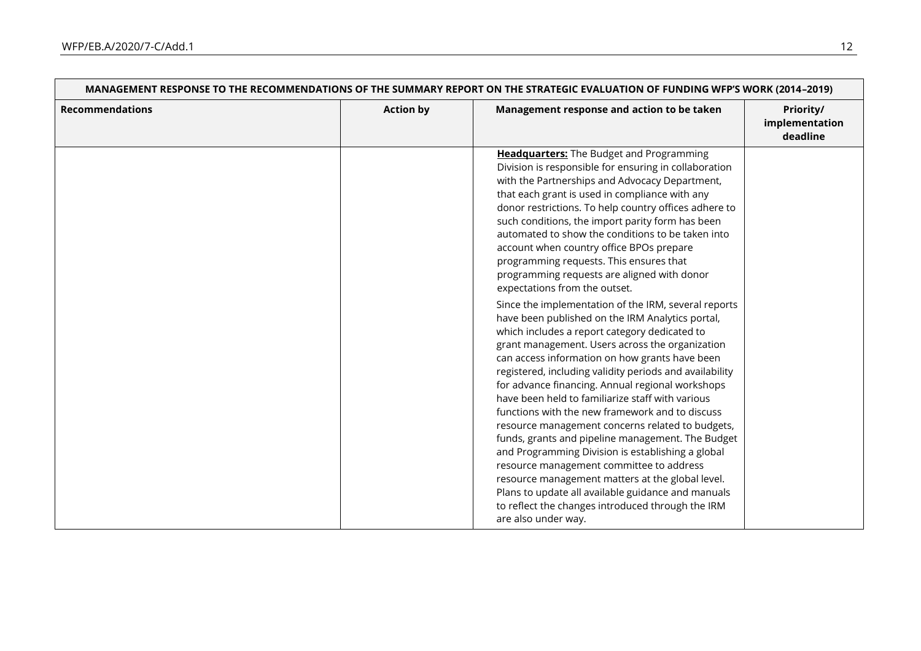| <b>Recommendations</b> | <b>Action by</b> | Management response and action to be taken                                                                                                                                                                                                                                                                                                                                                                                                                                                                                                                                                                                                                                                                                                                                                                                                                                                                                                                                                                                                                                                                                                      | Priority/<br>implementation<br>deadline |
|------------------------|------------------|-------------------------------------------------------------------------------------------------------------------------------------------------------------------------------------------------------------------------------------------------------------------------------------------------------------------------------------------------------------------------------------------------------------------------------------------------------------------------------------------------------------------------------------------------------------------------------------------------------------------------------------------------------------------------------------------------------------------------------------------------------------------------------------------------------------------------------------------------------------------------------------------------------------------------------------------------------------------------------------------------------------------------------------------------------------------------------------------------------------------------------------------------|-----------------------------------------|
|                        |                  | Headquarters: The Budget and Programming<br>Division is responsible for ensuring in collaboration<br>with the Partnerships and Advocacy Department,<br>that each grant is used in compliance with any<br>donor restrictions. To help country offices adhere to<br>such conditions, the import parity form has been<br>automated to show the conditions to be taken into<br>account when country office BPOs prepare<br>programming requests. This ensures that<br>programming requests are aligned with donor<br>expectations from the outset.<br>Since the implementation of the IRM, several reports<br>have been published on the IRM Analytics portal,<br>which includes a report category dedicated to<br>grant management. Users across the organization<br>can access information on how grants have been<br>registered, including validity periods and availability<br>for advance financing. Annual regional workshops<br>have been held to familiarize staff with various<br>functions with the new framework and to discuss<br>resource management concerns related to budgets,<br>funds, grants and pipeline management. The Budget |                                         |
|                        |                  | and Programming Division is establishing a global<br>resource management committee to address<br>resource management matters at the global level.<br>Plans to update all available guidance and manuals<br>to reflect the changes introduced through the IRM<br>are also under way.                                                                                                                                                                                                                                                                                                                                                                                                                                                                                                                                                                                                                                                                                                                                                                                                                                                             |                                         |

## **MANAGEMENT RESPONSE TO THE RECOMMENDATIONS OF THE SUMMARY REPORT ON THE STRATEGIC EVALUATION OF FUNDING WFP'S WORK (2014–2019)**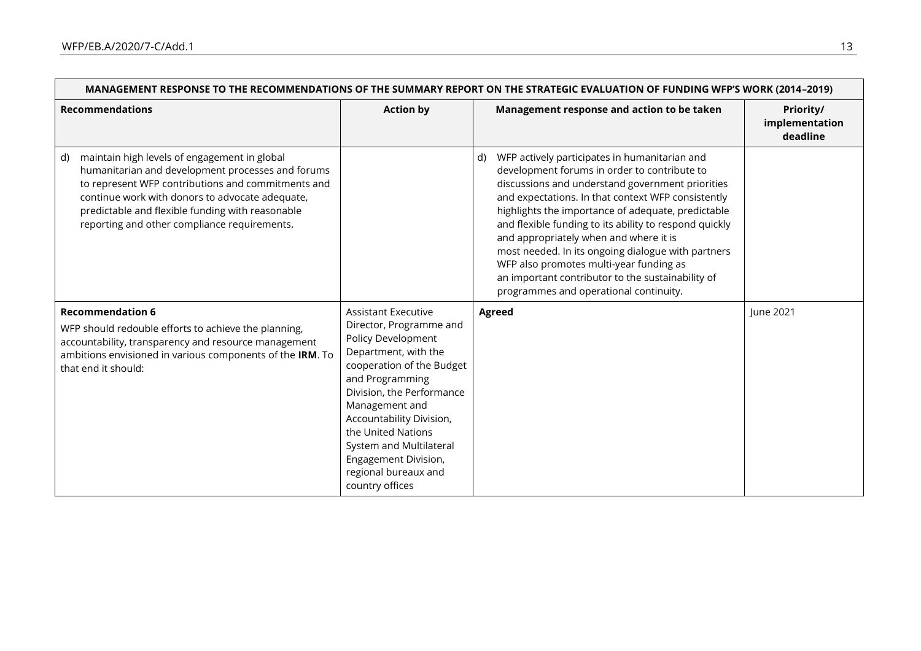| MANAGEMENT RESPONSE TO THE RECOMMENDATIONS OF THE SUMMARY REPORT ON THE STRATEGIC EVALUATION OF FUNDING WFP'S WORK (2014–2019)                                                                                                                                                                                       |                                                                                                                                                                                                                                                                                                                                                    |                                                                                                                                                                                                                                                                                                                                                                                                                                                                                                                                                                         |                                         |
|----------------------------------------------------------------------------------------------------------------------------------------------------------------------------------------------------------------------------------------------------------------------------------------------------------------------|----------------------------------------------------------------------------------------------------------------------------------------------------------------------------------------------------------------------------------------------------------------------------------------------------------------------------------------------------|-------------------------------------------------------------------------------------------------------------------------------------------------------------------------------------------------------------------------------------------------------------------------------------------------------------------------------------------------------------------------------------------------------------------------------------------------------------------------------------------------------------------------------------------------------------------------|-----------------------------------------|
| <b>Recommendations</b>                                                                                                                                                                                                                                                                                               | <b>Action by</b>                                                                                                                                                                                                                                                                                                                                   | Management response and action to be taken                                                                                                                                                                                                                                                                                                                                                                                                                                                                                                                              | Priority/<br>implementation<br>deadline |
| maintain high levels of engagement in global<br>d)<br>humanitarian and development processes and forums<br>to represent WFP contributions and commitments and<br>continue work with donors to advocate adequate,<br>predictable and flexible funding with reasonable<br>reporting and other compliance requirements. |                                                                                                                                                                                                                                                                                                                                                    | WFP actively participates in humanitarian and<br>d)<br>development forums in order to contribute to<br>discussions and understand government priorities<br>and expectations. In that context WFP consistently<br>highlights the importance of adequate, predictable<br>and flexible funding to its ability to respond quickly<br>and appropriately when and where it is<br>most needed. In its ongoing dialogue with partners<br>WFP also promotes multi-year funding as<br>an important contributor to the sustainability of<br>programmes and operational continuity. |                                         |
| <b>Recommendation 6</b><br>WFP should redouble efforts to achieve the planning,<br>accountability, transparency and resource management<br>ambitions envisioned in various components of the IRM. To<br>that end it should:                                                                                          | <b>Assistant Executive</b><br>Director, Programme and<br>Policy Development<br>Department, with the<br>cooperation of the Budget<br>and Programming<br>Division, the Performance<br>Management and<br>Accountability Division,<br>the United Nations<br>System and Multilateral<br>Engagement Division,<br>regional bureaux and<br>country offices | <b>Agreed</b>                                                                                                                                                                                                                                                                                                                                                                                                                                                                                                                                                           | June 2021                               |

## **MANAGEMENT RESPONSE TO THE RECOMMENDATIONS OF THE SUMMARY REPORT ON THE STRATEGIC EVALUATION OF FUNDING WFP'S WORK (2014–2019)**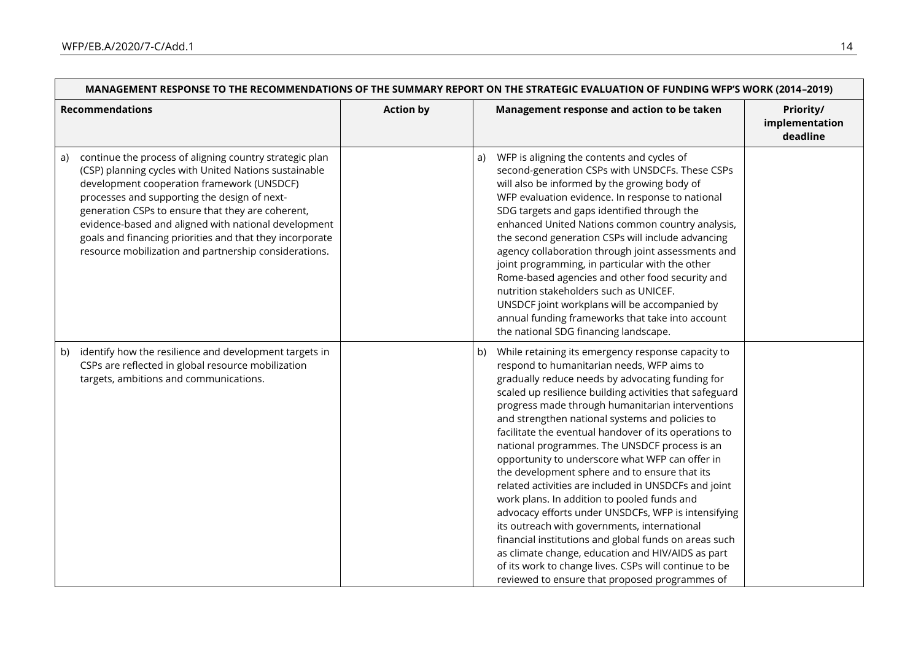| <b>Recommendations</b>                                                                                                                                                                                                                                                                                                                                                                                                                                 | <b>Action by</b> | Management response and action to be taken                                                                                                                                                                                                                                                                                                                                                                                                                                                                                                                                                                                                                                                                                                                                                                                                                                                                                                                                        | Priority/<br>implementation<br>deadline |
|--------------------------------------------------------------------------------------------------------------------------------------------------------------------------------------------------------------------------------------------------------------------------------------------------------------------------------------------------------------------------------------------------------------------------------------------------------|------------------|-----------------------------------------------------------------------------------------------------------------------------------------------------------------------------------------------------------------------------------------------------------------------------------------------------------------------------------------------------------------------------------------------------------------------------------------------------------------------------------------------------------------------------------------------------------------------------------------------------------------------------------------------------------------------------------------------------------------------------------------------------------------------------------------------------------------------------------------------------------------------------------------------------------------------------------------------------------------------------------|-----------------------------------------|
| continue the process of aligning country strategic plan<br>a)<br>(CSP) planning cycles with United Nations sustainable<br>development cooperation framework (UNSDCF)<br>processes and supporting the design of next-<br>generation CSPs to ensure that they are coherent,<br>evidence-based and aligned with national development<br>goals and financing priorities and that they incorporate<br>resource mobilization and partnership considerations. |                  | WFP is aligning the contents and cycles of<br>a)<br>second-generation CSPs with UNSDCFs. These CSPs<br>will also be informed by the growing body of<br>WFP evaluation evidence. In response to national<br>SDG targets and gaps identified through the<br>enhanced United Nations common country analysis,<br>the second generation CSPs will include advancing<br>agency collaboration through joint assessments and<br>joint programming, in particular with the other<br>Rome-based agencies and other food security and<br>nutrition stakeholders such as UNICEF.<br>UNSDCF joint workplans will be accompanied by<br>annual funding frameworks that take into account<br>the national SDG financing landscape.                                                                                                                                                                                                                                                               |                                         |
| identify how the resilience and development targets in<br>b)<br>CSPs are reflected in global resource mobilization<br>targets, ambitions and communications.                                                                                                                                                                                                                                                                                           |                  | While retaining its emergency response capacity to<br>b)<br>respond to humanitarian needs, WFP aims to<br>gradually reduce needs by advocating funding for<br>scaled up resilience building activities that safeguard<br>progress made through humanitarian interventions<br>and strengthen national systems and policies to<br>facilitate the eventual handover of its operations to<br>national programmes. The UNSDCF process is an<br>opportunity to underscore what WFP can offer in<br>the development sphere and to ensure that its<br>related activities are included in UNSDCFs and joint<br>work plans. In addition to pooled funds and<br>advocacy efforts under UNSDCFs, WFP is intensifying<br>its outreach with governments, international<br>financial institutions and global funds on areas such<br>as climate change, education and HIV/AIDS as part<br>of its work to change lives. CSPs will continue to be<br>reviewed to ensure that proposed programmes of |                                         |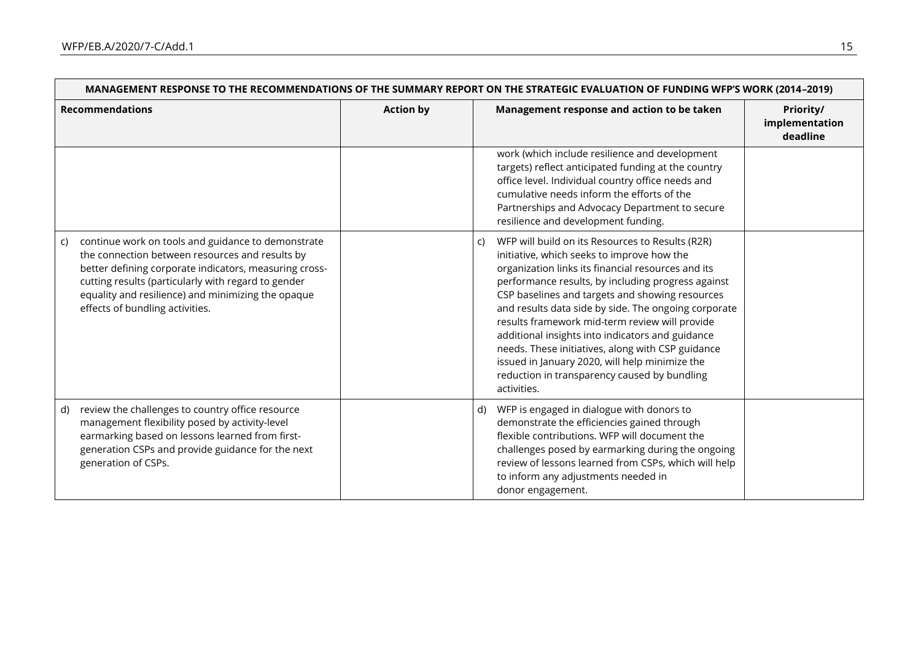$\blacksquare$ 

| <b>Recommendations</b>                                                                                                                                                                                                                                                                                                | <b>Action by</b> | Management response and action to be taken<br>Priority/<br>implementation<br>deadline                                                                                                                                                                                                                                                                                                                                                                                                                                                                                                                   |
|-----------------------------------------------------------------------------------------------------------------------------------------------------------------------------------------------------------------------------------------------------------------------------------------------------------------------|------------------|---------------------------------------------------------------------------------------------------------------------------------------------------------------------------------------------------------------------------------------------------------------------------------------------------------------------------------------------------------------------------------------------------------------------------------------------------------------------------------------------------------------------------------------------------------------------------------------------------------|
|                                                                                                                                                                                                                                                                                                                       |                  | work (which include resilience and development<br>targets) reflect anticipated funding at the country<br>office level. Individual country office needs and<br>cumulative needs inform the efforts of the<br>Partnerships and Advocacy Department to secure<br>resilience and development funding.                                                                                                                                                                                                                                                                                                       |
| continue work on tools and guidance to demonstrate<br>C)<br>the connection between resources and results by<br>better defining corporate indicators, measuring cross-<br>cutting results (particularly with regard to gender<br>equality and resilience) and minimizing the opaque<br>effects of bundling activities. |                  | WFP will build on its Resources to Results (R2R)<br>C)<br>initiative, which seeks to improve how the<br>organization links its financial resources and its<br>performance results, by including progress against<br>CSP baselines and targets and showing resources<br>and results data side by side. The ongoing corporate<br>results framework mid-term review will provide<br>additional insights into indicators and guidance<br>needs. These initiatives, along with CSP guidance<br>issued in January 2020, will help minimize the<br>reduction in transparency caused by bundling<br>activities. |
| review the challenges to country office resource<br>d)<br>management flexibility posed by activity-level<br>earmarking based on lessons learned from first-<br>generation CSPs and provide guidance for the next<br>generation of CSPs.                                                                               |                  | d) WFP is engaged in dialogue with donors to<br>demonstrate the efficiencies gained through<br>flexible contributions. WFP will document the<br>challenges posed by earmarking during the ongoing<br>review of lessons learned from CSPs, which will help<br>to inform any adjustments needed in<br>donor engagement.                                                                                                                                                                                                                                                                                   |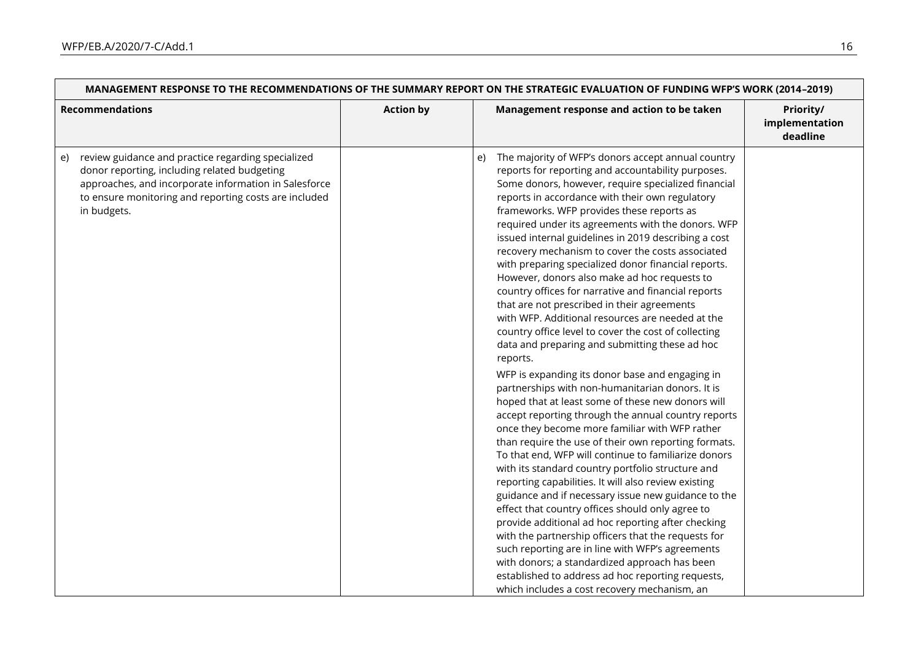| <b>Recommendations</b>                                                                                                                                                                                                                    | <b>Action by</b> | Management response and action to be taken                                                                                                                                                                                                                                                                                                                                                                                                                                                                                                                                                                                                                                                                                                                                                                                                                                                                                                                                                                                                                                                                                                                                                                                                                                                                                                                                                                                                                                                                                                                                                                                                                                                                                                                         | Priority/<br>implementation<br>deadline |
|-------------------------------------------------------------------------------------------------------------------------------------------------------------------------------------------------------------------------------------------|------------------|--------------------------------------------------------------------------------------------------------------------------------------------------------------------------------------------------------------------------------------------------------------------------------------------------------------------------------------------------------------------------------------------------------------------------------------------------------------------------------------------------------------------------------------------------------------------------------------------------------------------------------------------------------------------------------------------------------------------------------------------------------------------------------------------------------------------------------------------------------------------------------------------------------------------------------------------------------------------------------------------------------------------------------------------------------------------------------------------------------------------------------------------------------------------------------------------------------------------------------------------------------------------------------------------------------------------------------------------------------------------------------------------------------------------------------------------------------------------------------------------------------------------------------------------------------------------------------------------------------------------------------------------------------------------------------------------------------------------------------------------------------------------|-----------------------------------------|
| review guidance and practice regarding specialized<br>e)<br>donor reporting, including related budgeting<br>approaches, and incorporate information in Salesforce<br>to ensure monitoring and reporting costs are included<br>in budgets. |                  | The majority of WFP's donors accept annual country<br>e)<br>reports for reporting and accountability purposes.<br>Some donors, however, require specialized financial<br>reports in accordance with their own regulatory<br>frameworks. WFP provides these reports as<br>required under its agreements with the donors. WFP<br>issued internal guidelines in 2019 describing a cost<br>recovery mechanism to cover the costs associated<br>with preparing specialized donor financial reports.<br>However, donors also make ad hoc requests to<br>country offices for narrative and financial reports<br>that are not prescribed in their agreements<br>with WFP. Additional resources are needed at the<br>country office level to cover the cost of collecting<br>data and preparing and submitting these ad hoc<br>reports.<br>WFP is expanding its donor base and engaging in<br>partnerships with non-humanitarian donors. It is<br>hoped that at least some of these new donors will<br>accept reporting through the annual country reports<br>once they become more familiar with WFP rather<br>than require the use of their own reporting formats.<br>To that end, WFP will continue to familiarize donors<br>with its standard country portfolio structure and<br>reporting capabilities. It will also review existing<br>guidance and if necessary issue new guidance to the<br>effect that country offices should only agree to<br>provide additional ad hoc reporting after checking<br>with the partnership officers that the requests for<br>such reporting are in line with WFP's agreements<br>with donors; a standardized approach has been<br>established to address ad hoc reporting requests,<br>which includes a cost recovery mechanism, an |                                         |

#### $\mathcal{L}(\mathcal{A})$ **MANAGEMENT RESPONSE TO THE RECOMMENDATIONS OF THE SUMMARY REPORT ON THE STRATEGIC EVALUATION OF FUNDING WFP'S WORK (2014–2019)**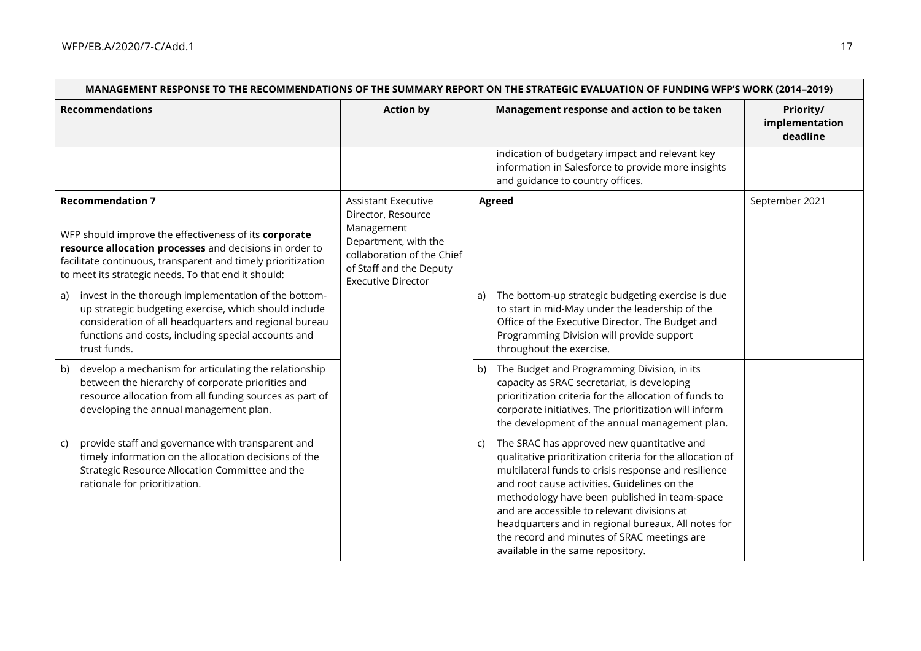$\blacksquare$ 

| <b>Recommendations</b>                                                                                                                                                                                                                                             | <b>Action by</b>                                                                                                                                                             | Management response and action to be taken                                                                                                                                                                                                                                                                                                                                                                                                                       |                                         |
|--------------------------------------------------------------------------------------------------------------------------------------------------------------------------------------------------------------------------------------------------------------------|------------------------------------------------------------------------------------------------------------------------------------------------------------------------------|------------------------------------------------------------------------------------------------------------------------------------------------------------------------------------------------------------------------------------------------------------------------------------------------------------------------------------------------------------------------------------------------------------------------------------------------------------------|-----------------------------------------|
|                                                                                                                                                                                                                                                                    |                                                                                                                                                                              |                                                                                                                                                                                                                                                                                                                                                                                                                                                                  | Priority/<br>implementation<br>deadline |
|                                                                                                                                                                                                                                                                    |                                                                                                                                                                              | indication of budgetary impact and relevant key<br>information in Salesforce to provide more insights<br>and guidance to country offices.                                                                                                                                                                                                                                                                                                                        |                                         |
| <b>Recommendation 7</b><br>WFP should improve the effectiveness of its corporate<br>resource allocation processes and decisions in order to<br>facilitate continuous, transparent and timely prioritization<br>to meet its strategic needs. To that end it should: | <b>Assistant Executive</b><br>Director, Resource<br>Management<br>Department, with the<br>collaboration of the Chief<br>of Staff and the Deputy<br><b>Executive Director</b> | <b>Agreed</b>                                                                                                                                                                                                                                                                                                                                                                                                                                                    | September 2021                          |
| invest in the thorough implementation of the bottom-<br>a)<br>up strategic budgeting exercise, which should include<br>consideration of all headquarters and regional bureau<br>functions and costs, including special accounts and<br>trust funds.                |                                                                                                                                                                              | The bottom-up strategic budgeting exercise is due<br>a)<br>to start in mid-May under the leadership of the<br>Office of the Executive Director. The Budget and<br>Programming Division will provide support<br>throughout the exercise.                                                                                                                                                                                                                          |                                         |
| develop a mechanism for articulating the relationship<br>b)<br>between the hierarchy of corporate priorities and<br>resource allocation from all funding sources as part of<br>developing the annual management plan.                                              |                                                                                                                                                                              | The Budget and Programming Division, in its<br>b)<br>capacity as SRAC secretariat, is developing<br>prioritization criteria for the allocation of funds to<br>corporate initiatives. The prioritization will inform<br>the development of the annual management plan.                                                                                                                                                                                            |                                         |
| provide staff and governance with transparent and<br>C)<br>timely information on the allocation decisions of the<br>Strategic Resource Allocation Committee and the<br>rationale for prioritization.                                                               |                                                                                                                                                                              | The SRAC has approved new quantitative and<br>C)<br>qualitative prioritization criteria for the allocation of<br>multilateral funds to crisis response and resilience<br>and root cause activities. Guidelines on the<br>methodology have been published in team-space<br>and are accessible to relevant divisions at<br>headquarters and in regional bureaux. All notes for<br>the record and minutes of SRAC meetings are<br>available in the same repository. |                                         |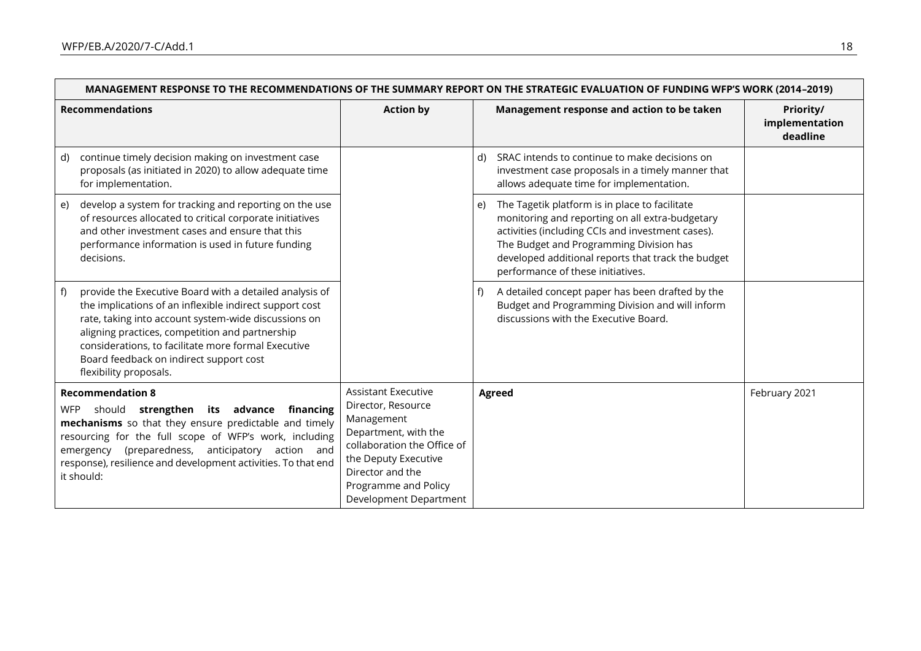| MANAGEMENT RESPONSE TO THE RECOMMENDATIONS OF THE SUMMARY REPORT ON THE STRATEGIC EVALUATION OF FUNDING WFP'S WORK (2014–2019)                                                                                                                                                                                                                                  |                                                                                                                                                                                                                     |                                                                                                                                                                                                                                                                                                    |                                         |
|-----------------------------------------------------------------------------------------------------------------------------------------------------------------------------------------------------------------------------------------------------------------------------------------------------------------------------------------------------------------|---------------------------------------------------------------------------------------------------------------------------------------------------------------------------------------------------------------------|----------------------------------------------------------------------------------------------------------------------------------------------------------------------------------------------------------------------------------------------------------------------------------------------------|-----------------------------------------|
| <b>Recommendations</b>                                                                                                                                                                                                                                                                                                                                          | <b>Action by</b>                                                                                                                                                                                                    | Management response and action to be taken                                                                                                                                                                                                                                                         | Priority/<br>implementation<br>deadline |
| continue timely decision making on investment case<br>d)<br>proposals (as initiated in 2020) to allow adequate time<br>for implementation.                                                                                                                                                                                                                      |                                                                                                                                                                                                                     | SRAC intends to continue to make decisions on<br>d)<br>investment case proposals in a timely manner that<br>allows adequate time for implementation.                                                                                                                                               |                                         |
| develop a system for tracking and reporting on the use<br>e)<br>of resources allocated to critical corporate initiatives<br>and other investment cases and ensure that this<br>performance information is used in future funding<br>decisions.                                                                                                                  |                                                                                                                                                                                                                     | The Tagetik platform is in place to facilitate<br>e)<br>monitoring and reporting on all extra-budgetary<br>activities (including CCIs and investment cases).<br>The Budget and Programming Division has<br>developed additional reports that track the budget<br>performance of these initiatives. |                                         |
| provide the Executive Board with a detailed analysis of<br>f)<br>the implications of an inflexible indirect support cost<br>rate, taking into account system-wide discussions on<br>aligning practices, competition and partnership<br>considerations, to facilitate more formal Executive<br>Board feedback on indirect support cost<br>flexibility proposals. |                                                                                                                                                                                                                     | A detailed concept paper has been drafted by the<br>f)<br>Budget and Programming Division and will inform<br>discussions with the Executive Board.                                                                                                                                                 |                                         |
| <b>Recommendation 8</b><br>should strengthen its advance financing<br><b>WFP</b><br>mechanisms so that they ensure predictable and timely<br>resourcing for the full scope of WFP's work, including<br>emergency (preparedness, anticipatory action and<br>response), resilience and development activities. To that end<br>it should:                          | <b>Assistant Executive</b><br>Director, Resource<br>Management<br>Department, with the<br>collaboration the Office of<br>the Deputy Executive<br>Director and the<br>Programme and Policy<br>Development Department | Agreed                                                                                                                                                                                                                                                                                             | February 2021                           |